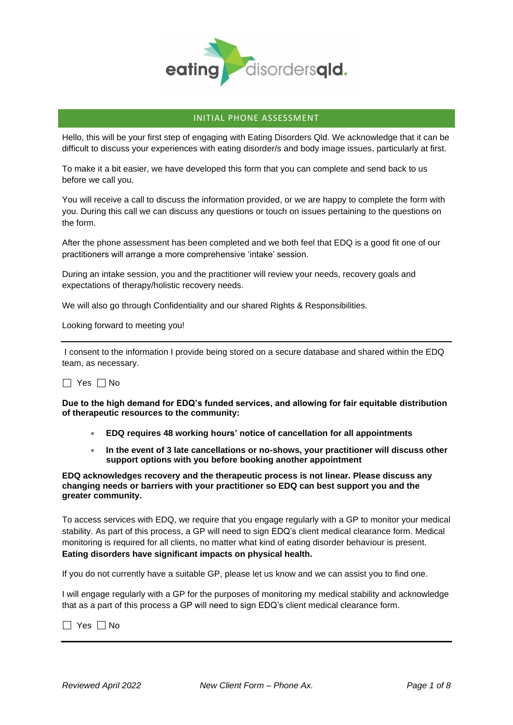

### INITIAL PHONE ASSESSMENT

Hello, this will be your first step of engaging with Eating Disorders Qld. We acknowledge that it can be difficult to discuss your experiences with eating disorder/s and body image issues, particularly at first.

To make it a bit easier, we have developed this form that you can complete and send back to us before we call you.

You will receive a call to discuss the information provided, or we are happy to complete the form with you. During this call we can discuss any questions or touch on issues pertaining to the questions on the form.

After the phone assessment has been completed and we both feel that EDQ is a good fit one of our practitioners will arrange a more comprehensive 'intake' session.

During an intake session, you and the practitioner will review your needs, recovery goals and expectations of therapy/holistic recovery needs.

We will also go through Confidentiality and our shared Rights & Responsibilities.

Looking forward to meeting you!

I consent to the information I provide being stored on a secure database and shared within the EDQ team, as necessary.

 $\Box$  Yes  $\Box$  No

**Due to the high demand for EDQ's funded services, and allowing for fair equitable distribution of therapeutic resources to the community:**

- **EDQ requires 48 working hours' notice of cancellation for all appointments**
- **In the event of 3 late cancellations or no-shows, your practitioner will discuss other support options with you before booking another appointment**

**EDQ acknowledges recovery and the therapeutic process is not linear. Please discuss any changing needs or barriers with your practitioner so EDQ can best support you and the greater community.**

To access services with EDQ, we require that you engage regularly with a GP to monitor your medical stability. As part of this process, a GP will need to sign EDQ's client medical clearance form. Medical monitoring is required for all clients, no matter what kind of eating disorder behaviour is present. **Eating disorders have significant impacts on physical health.**

If you do not currently have a suitable GP, please let us know and we can assist you to find one.

I will engage regularly with a GP for the purposes of monitoring my medical stability and acknowledge that as a part of this process a GP will need to sign EDQ's client medical clearance form.

 $\Box$  Yes  $\Box$  No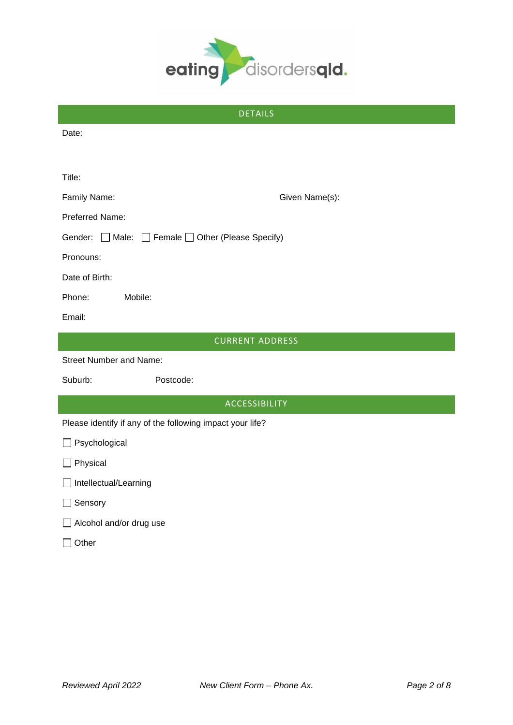

| <b>DETAILS</b>                                            |  |
|-----------------------------------------------------------|--|
| Date:                                                     |  |
|                                                           |  |
| Title:                                                    |  |
| Family Name:<br>Given Name(s):                            |  |
| Preferred Name:                                           |  |
| Gender: Male: Female Other (Please Specify)               |  |
| Pronouns:                                                 |  |
| Date of Birth:                                            |  |
| Phone:<br>Mobile:                                         |  |
| Email:                                                    |  |
| <b>CURRENT ADDRESS</b>                                    |  |
| <b>Street Number and Name:</b>                            |  |
| Suburb:<br>Postcode:                                      |  |
| <b>ACCESSIBILITY</b>                                      |  |
| Please identify if any of the following impact your life? |  |
| Psychological<br>$\Box$                                   |  |
| Physical<br>ΙI                                            |  |
| Intellectual/Learning<br>ப                                |  |
| Sensory                                                   |  |
| $\Box$ Alcohol and/or drug use                            |  |

 $\Box$  Other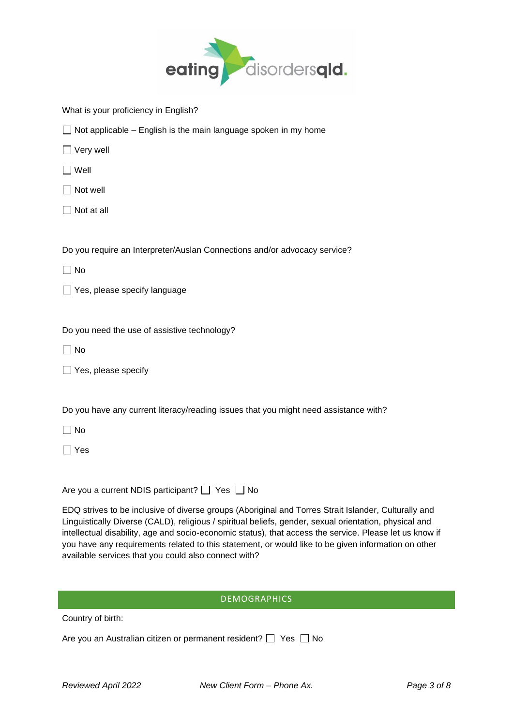

|  | What is your proficiency in English? |  |
|--|--------------------------------------|--|
|  |                                      |  |

- $\Box$  Not applicable English is the main language spoken in my home
- Very well
- □ Well
- □ Not well
- $\Box$  Not at all

Do you require an Interpreter/Auslan Connections and/or advocacy service?

- $\Box$  No
- Yes, please specify language

Do you need the use of assistive technology?

- $\Box$  No
- Yes, please specify

Do you have any current literacy/reading issues that you might need assistance with?

 $\Box$  No

 $\Box$  Yes

|  |  | Are you a current NDIS participant? □ Yes □ No |  |  |  |  |  |  |  |
|--|--|------------------------------------------------|--|--|--|--|--|--|--|
|--|--|------------------------------------------------|--|--|--|--|--|--|--|

EDQ strives to be inclusive of diverse groups (Aboriginal and Torres Strait Islander, Culturally and Linguistically Diverse (CALD), religious / spiritual beliefs, gender, sexual orientation, physical and intellectual disability, age and socio-economic status), that access the service. Please let us know if you have any requirements related to this statement, or would like to be given information on other available services that you could also connect with?

## DEMOGRAPHICS

| Country of birth:                                                         |  |
|---------------------------------------------------------------------------|--|
| Are you an Australian citizen or permanent resident? $\Box$ Yes $\Box$ No |  |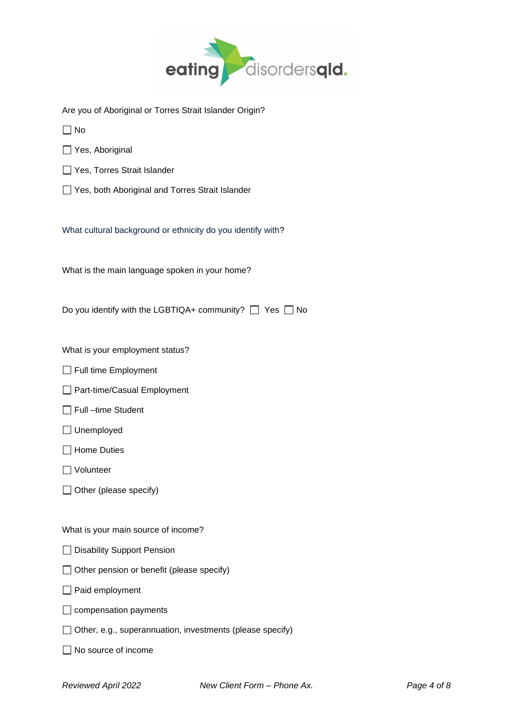

Are you of Aboriginal or Torres Strait Islander Origin?

No

Yes, Aboriginal

□ Yes, Torres Strait Islander

□ Yes, both Aboriginal and Torres Strait Islander

What cultural background or ethnicity do you identify with?

What is the main language spoken in your home?

Do you identify with the LGBTIQA+ community?  $\Box$  Yes  $\Box$  No

What is your employment status?

- Full time Employment
- Part-time/Casual Employment
- □ Full –time Student
- □ Unemployed
- $\Box$  Home Duties
- □ Volunteer
- $\Box$  Other (please specify)

What is your main source of income?

- Disability Support Pension
- □ Other pension or benefit (please specify)
- Paid employment
- $\Box$  compensation payments
- $\Box$  Other, e.g., superannuation, investments (please specify)
- No source of income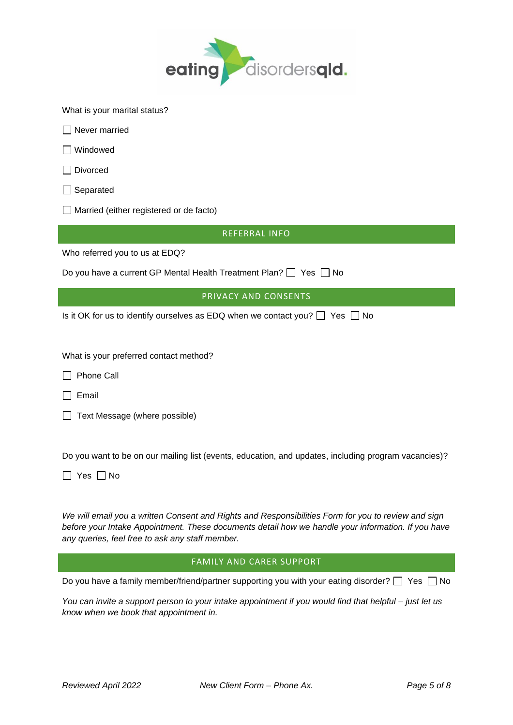

What is your marital status?

Never married

Windowed

□ Divorced

□ Separated

Married (either registered or de facto)

| <b>REFERRAL INFO</b>                                                                   |
|----------------------------------------------------------------------------------------|
| Who referred you to us at EDQ?                                                         |
| Do you have a current GP Mental Health Treatment Plan? $\Box$ Yes $\Box$ No            |
| PRIVACY AND CONSENTS                                                                   |
| Is it OK for us to identify ourselves as EDQ when we contact you? $\Box$ Yes $\Box$ No |
| What is your preferred contact method?                                                 |

 $\Box$  Phone Call

 $\Box$  Email

Do you want to be on our mailing list (events, education, and updates, including program vacancies)?

 $\Box$  Yes  $\Box$  No

*We will email you a written Consent and Rights and Responsibilities Form for you to review and sign before your Intake Appointment. These documents detail how we handle your information. If you have any queries, feel free to ask any staff member.*

# FAMILY AND CARER SUPPORT

Do you have a family member/friend/partner supporting you with your eating disorder?  $\Box$  Yes  $\Box$  No

*You can invite a support person to your intake appointment if you would find that helpful – just let us know when we book that appointment in.*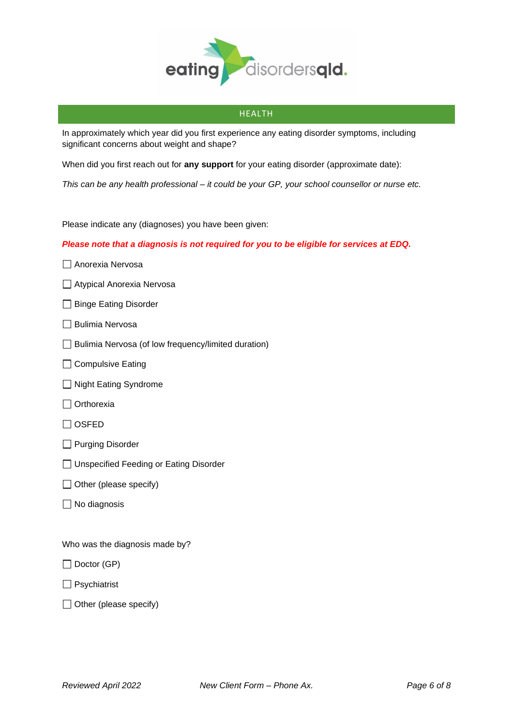

## HEALTH

In approximately which year did you first experience any eating disorder symptoms, including significant concerns about weight and shape?

When did you first reach out for **any support** for your eating disorder (approximate date):

*This can be any health professional – it could be your GP, your school counsellor or nurse etc.* 

Please indicate any (diagnoses) you have been given:

#### *Please note that a diagnosis is not required for you to be eligible for services at EDQ.*

- □ Anorexia Nervosa
- □ Atypical Anorexia Nervosa
- □ Binge Eating Disorder
- □ Bulimia Nervosa
- Bulimia Nervosa (of low frequency/limited duration)
- $\Box$  Compulsive Eating
- □ Night Eating Syndrome
- $\Box$  Orthorexia
- $\Box$  OSFED
- **Purging Disorder**
- □ Unspecified Feeding or Eating Disorder
- $\Box$  Other (please specify)
- $\Box$  No diagnosis

Who was the diagnosis made by?

- $\Box$  Doctor (GP)
- $\Box$  Psychiatrist
- $\Box$  Other (please specify)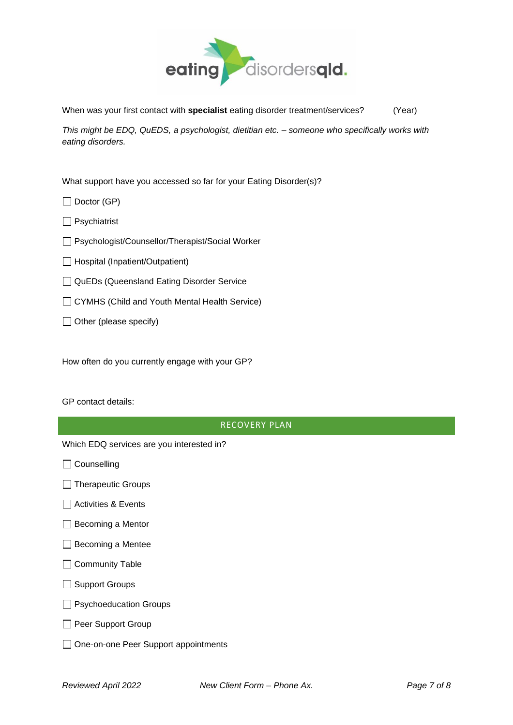

When was your first contact with **specialist** eating disorder treatment/services? (Year)

*This might be EDQ, QuEDS, a psychologist, dietitian etc. – someone who specifically works with eating disorders.* 

What support have you accessed so far for your Eating Disorder(s)?

□ Doctor (GP)

 $\Box$  Psychiatrist

□ Psychologist/Counsellor/Therapist/Social Worker

□ Hospital (Inpatient/Outpatient)

QuEDs (Queensland Eating Disorder Service

□ CYMHS (Child and Youth Mental Health Service)

 $\Box$  Other (please specify)

How often do you currently engage with your GP?

GP contact details:

### RECOVERY PLAN

Which EDQ services are you interested in?

□ Counselling

Therapeutic Groups

- □ Activities & Events
- $\Box$  Becoming a Mentor
- Becoming a Mentee
- □ Community Table
- □ Support Groups
- **Psychoeducation Groups**
- Peer Support Group
- One-on-one Peer Support appointments